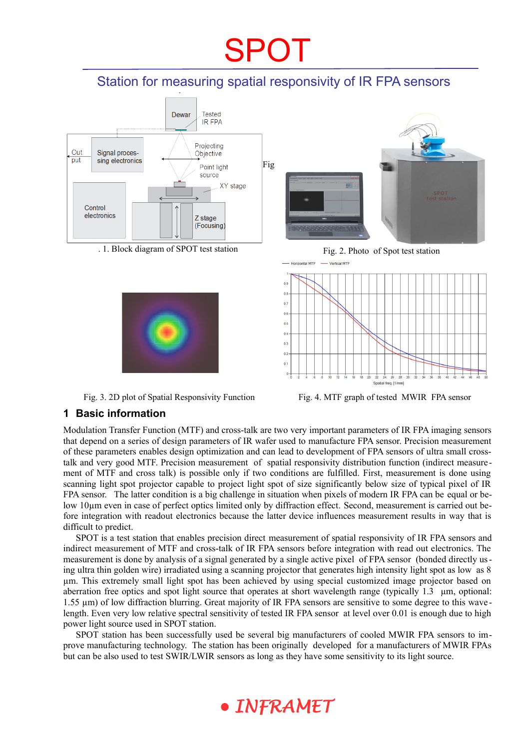# SPOT

### Station for measuring spatial responsivity of IR FPA sensors



. 1. Block diagram of SPOT test station Fig. 2. Photo of Spot test station







Fig. 3. 2D plot of Spatial Responsivity Function Fig. 4. MTF graph of tested MWIR FPA sensor

#### **1 Basic information**

Modulation Transfer Function (MTF) and cross-talk are two very important parameters of IR FPA imaging sensors that depend on a series of design parameters of IR wafer used to manufacture FPA sensor. Precision measurement of these parameters enables design optimization and can lead to development of FPA sensors of ultra small crosstalk and very good MTF. Precision measurement of spatial responsivity distribution function (indirect measurement of MTF and cross talk) is possible only if two conditions are fulfilled. First, measurement is done using scanning light spot projector capable to project light spot of size significantly below size of typical pixel of IR FPA sensor. The latter condition is a big challenge in situation when pixels of modern IR FPA can be equal or below 10µm even in case of perfect optics limited only by diffraction effect. Second, measurement is carried out before integration with readout electronics because the latter device influences measurement results in way that is difficult to predict.

SPOT is a test station that enables precision direct measurement of spatial responsivity of IR FPA sensors and indirect measurement of MTF and cross-talk of IR FPA sensors before integration with read out electronics. The measurement is done by analysis of a signal generated by a single active pixel of FPA sensor (bonded directly using ultra thin golden wire) irradiated using a scanning projector that generates high intensity light spot as low as 8 µm. This extremely small light spot has been achieved by using special customized image projector based on aberration free optics and spot light source that operates at short wavelength range (typically 1.3 µm, optional: 1.55 µm) of low diffraction blurring. Great majority of IR FPA sensors are sensitive to some degree to this wave length. Even very low relative spectral sensitivity of tested IR FPA sensor at level over 0.01 is enough due to high power light source used in SPOT station.

SPOT station has been successfully used be several big manufacturers of cooled MWIR FPA sensors to improve manufacturing technology. The station has been originally developed for a manufacturers of MWIR FPAs but can be also used to test SWIR/LWIR sensors as long as they have some sensitivity to its light source.

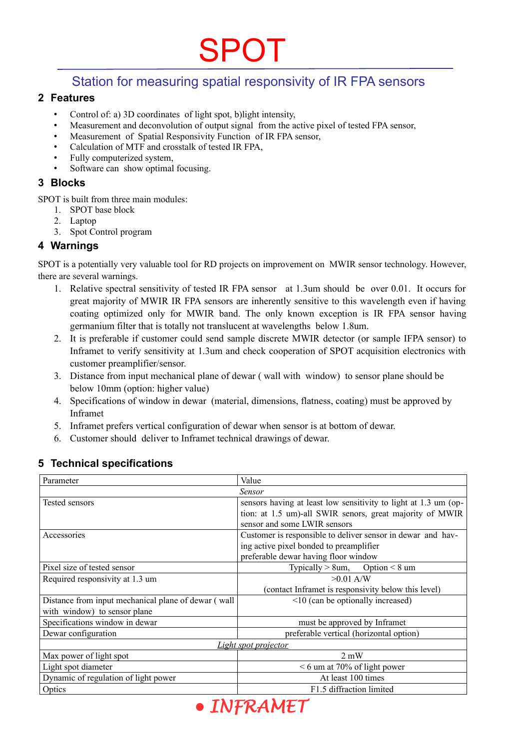## SPOT

### Station for measuring spatial responsivity of IR FPA sensors

#### **2 Features**

- Control of: a) 3D coordinates of light spot, b)light intensity,
- Measurement and deconvolution of output signal from the active pixel of tested FPA sensor,
- Measurement of Spatial Responsivity Function of IR FPA sensor,
- Calculation of MTF and crosstalk of tested IR FPA,
- Fully computerized system,
- Software can show optimal focusing.

#### **3 Blocks**

SPOT is built from three main modules:

- 1. SPOT base block
- 2. Laptop
- 3. Spot Control program

#### **4 Warnings**

SPOT is a potentially very valuable tool for RD projects on improvement on MWIR sensor technology. However, there are several warnings.

- 1. Relative spectral sensitivity of tested IR FPA sensor at 1.3um should be over 0.01. It occurs for great majority of MWIR IR FPA sensors are inherently sensitive to this wavelength even if having coating optimized only for MWIR band. The only known exception is IR FPA sensor having germanium filter that is totally not translucent at wavelengths below 1.8um.
- 2. It is preferable if customer could send sample discrete MWIR detector (or sample IFPA sensor) to Inframet to verify sensitivity at 1.3um and check cooperation of SPOT acquisition electronics with customer preamplifier/sensor.
- 3. Distance from input mechanical plane of dewar ( wall with window) to sensor plane should be below 10mm (option: higher value)
- 4. Specifications of window in dewar (material, dimensions, flatness, coating) must be approved by Inframet
- 5. Inframet prefers vertical configuration of dewar when sensor is at bottom of dewar.
- 6. Customer should deliver to Inframet technical drawings of dewar.

| Parameter                                           | Value                                                           |
|-----------------------------------------------------|-----------------------------------------------------------------|
| Sensor                                              |                                                                 |
| Tested sensors                                      | sensors having at least low sensitivity to light at 1.3 um (op- |
|                                                     | tion: at 1.5 um)-all SWIR senors, great majority of MWIR        |
|                                                     | sensor and some LWIR sensors                                    |
| Accessories                                         | Customer is responsible to deliver sensor in dewar and hav-     |
|                                                     | ing active pixel bonded to preamplifier                         |
|                                                     | preferable dewar having floor window                            |
| Pixel size of tested sensor                         | Typically $> 8$ um, Option $< 8$ um                             |
| Required responsivity at 1.3 um                     | $>0.01$ A/W                                                     |
|                                                     | (contact Inframet is responsivity below this level)             |
| Distance from input mechanical plane of dewar (wall | $\leq$ 10 (can be optionally increased)                         |
| with window) to sensor plane                        |                                                                 |
| Specifications window in dewar                      | must be approved by Inframet                                    |
| Dewar configuration                                 | preferable vertical (horizontal option)                         |
| Light spot projector                                |                                                                 |
| Max power of light spot                             | $2 \text{ mW}$                                                  |
| Light spot diameter                                 | $< 6$ um at 70% of light power                                  |
| Dynamic of regulation of light power                | At least 100 times                                              |
| Optics                                              | F1.5 diffraction limited                                        |
|                                                     |                                                                 |

#### **5 Technical specifications**